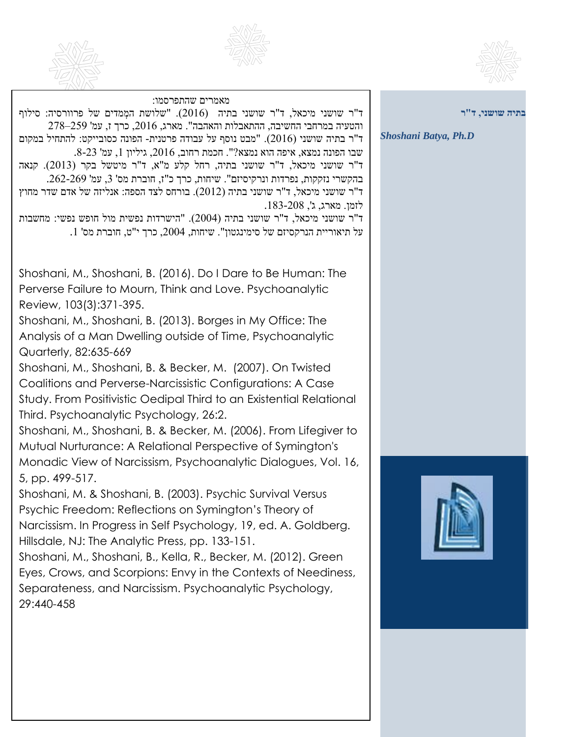



29:440-458



**בתיה שושני, ד"ר** *Shoshani Batya, Ph.D* מאמרים שהתפרסמו: ד"ר שושני מיכאל, ד"ר שושני בתיה (2016). "שלושת המְמדים של פרוורסיה: סילוף והטעיה במרחבי החשיבה, ההתאבלות והאהבה". מארג, ,2016 כרך ז, עמ' 259–278 ד"ר בתיה שושני )2016(. "מבט נוסף על עבודה פרטנית- הפונה כסובייקט: להתחיל במקום שבו הפונה נמצא, איפה הוא נמצא?". חכמת רחוב, 2016, גיליון 1, עמ' 23-8. ד"ר שושני מיכאל, ד"ר שושני בתיה, רחל קלע מ"א, ד"ר מיטשל בקר )2013(. קנאה  $262$ בהקשרי נזקקות, נפרדות ונרקיסיזם". שיחות, כרך כ"ז, חוברת מס' 3, עמ' 262-269. ד"ר שושני מיכאל, ד"ר שושני בתיה )2012(. בורחס לצד הספה: אנליזה של אדם שדר מחוץ לזמן. מארג, ג', .183-208 ד"ר שושני מיכאל, ד"ר שושני בתיה )2004(. "הישרדות נפשית מול חופש נפשי: מחשבות . על תיאוריית הנרקסיזם של סימינגטון". שיחות, 2004, כרך י"ט, חוברת מס' 1 Shoshani, M., Shoshani, B. (2016). Do I Dare to Be Human: The Perverse Failure to Mourn, Think and Love. Psychoanalytic Review, 103(3):371-395. Shoshani, M., Shoshani, B. (2013). Borges in My Office: The Analysis of a Man Dwelling outside of Time, Psychoanalytic Quarterly, 82:635-669 Shoshani, M., Shoshani, B. & Becker, M. (2007). On Twisted Coalitions and Perverse-Narcissistic Configurations: A Case Study. From Positivistic Oedipal Third to an Existential Relational Third. Psychoanalytic Psychology, 26:2. Shoshani, M., Shoshani, B. & Becker, M. (2006). From Lifegiver to Mutual Nurturance: A Relational Perspective of Symington's Monadic View of Narcissism, Psychoanalytic Dialogues, Vol. 16, 5, pp. 499-517. Shoshani, M. & Shoshani, B. (2003). Psychic Survival Versus Psychic Freedom: Reflections on Symington's Theory of Narcissism. In Progress in Self Psychology, 19, ed. A. Goldberg. Hillsdale, NJ: The Analytic Press, pp. 133-151. Shoshani, M., Shoshani, B., Kella, R., Becker, M. (2012). Green Eyes, Crows, and Scorpions: Envy in the Contexts of Neediness, Separateness, and Narcissism. Psychoanalytic Psychology,